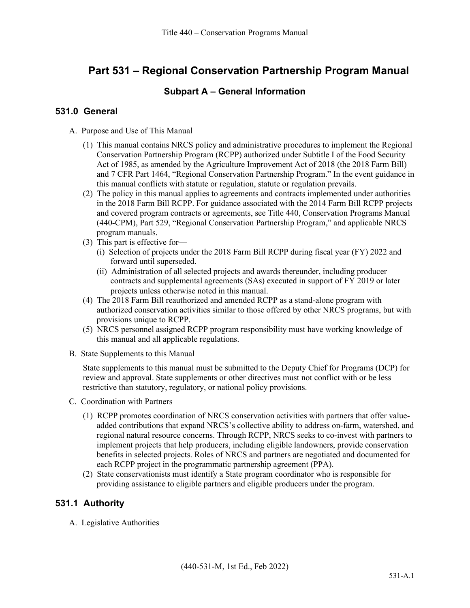# **Part 531 – Regional Conservation Partnership Program Manual**

# **Subpart A – General Information**

# **531.0 General**

- A. Purpose and Use of This Manual
	- (1) This manual contains NRCS policy and administrative procedures to implement the Regional Conservation Partnership Program (RCPP) authorized under Subtitle I of the Food Security Act of 1985, as amended by the Agriculture Improvement Act of 2018 (the 2018 Farm Bill) and 7 CFR Part 1464, "Regional Conservation Partnership Program." In the event guidance in this manual conflicts with statute or regulation, statute or regulation prevails.
	- (2) The policy in this manual applies to agreements and contracts implemented under authorities in the 2018 Farm Bill RCPP. For guidance associated with the 2014 Farm Bill RCPP projects and covered program contracts or agreements, see Title 440, Conservation Programs Manual (440-CPM), Part 529, "Regional Conservation Partnership Program," and applicable NRCS program manuals.
	- (3) This part is effective for—
		- (i) Selection of projects under the 2018 Farm Bill RCPP during fiscal year (FY) 2022 and forward until superseded.
		- (ii) Administration of all selected projects and awards thereunder, including producer contracts and supplemental agreements (SAs) executed in support of FY 2019 or later projects unless otherwise noted in this manual.
	- (4) The 2018 Farm Bill reauthorized and amended RCPP as a stand-alone program with authorized conservation activities similar to those offered by other NRCS programs, but with provisions unique to RCPP.
	- (5) NRCS personnel assigned RCPP program responsibility must have working knowledge of this manual and all applicable regulations.
- B. State Supplements to this Manual

State supplements to this manual must be submitted to the Deputy Chief for Programs (DCP) for review and approval. State supplements or other directives must not conflict with or be less restrictive than statutory, regulatory, or national policy provisions.

- C. Coordination with Partners
	- (1) RCPP promotes coordination of NRCS conservation activities with partners that offer valueadded contributions that expand NRCS's collective ability to address on-farm, watershed, and regional natural resource concerns. Through RCPP, NRCS seeks to co-invest with partners to implement projects that help producers, including eligible landowners, provide conservation benefits in selected projects. Roles of NRCS and partners are negotiated and documented for each RCPP project in the programmatic partnership agreement (PPA).
	- (2) State conservationists must identify a State program coordinator who is responsible for providing assistance to eligible partners and eligible producers under the program.

# **531.1 Authority**

A. Legislative Authorities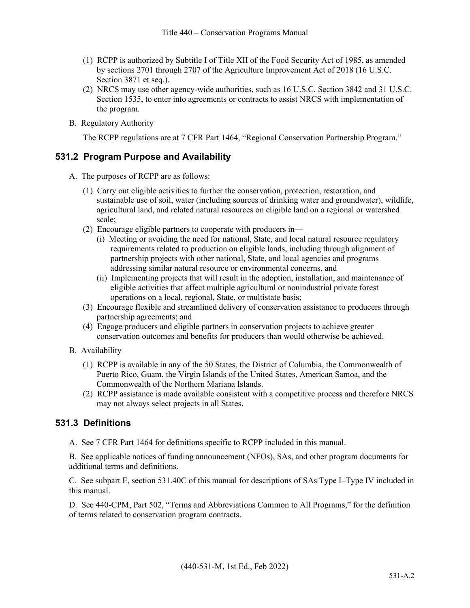- (1) RCPP is authorized by Subtitle I of Title XII of the Food Security Act of 1985, as amended by sections 2701 through 2707 of the Agriculture Improvement Act of 2018 (16 U.S.C. Section 3871 et seq.).
- (2) NRCS may use other agency-wide authorities, such as 16 U.S.C. Section 3842 and 31 U.S.C. Section 1535, to enter into agreements or contracts to assist NRCS with implementation of the program.
- B. Regulatory Authority

The RCPP regulations are at 7 CFR Part 1464, "Regional Conservation Partnership Program."

# **531.2 Program Purpose and Availability**

- A. The purposes of RCPP are as follows:
	- (1) Carry out eligible activities to further the conservation, protection, restoration, and sustainable use of soil, water (including sources of drinking water and groundwater), wildlife, agricultural land, and related natural resources on eligible land on a regional or watershed scale;
	- (2) Encourage eligible partners to cooperate with producers in—
		- (i) Meeting or avoiding the need for national, State, and local natural resource regulatory requirements related to production on eligible lands, including through alignment of partnership projects with other national, State, and local agencies and programs addressing similar natural resource or environmental concerns, and
		- (ii) Implementing projects that will result in the adoption, installation, and maintenance of eligible activities that affect multiple agricultural or nonindustrial private forest operations on a local, regional, State, or multistate basis;
	- (3) Encourage flexible and streamlined delivery of conservation assistance to producers through partnership agreements; and
	- (4) Engage producers and eligible partners in conservation projects to achieve greater conservation outcomes and benefits for producers than would otherwise be achieved.
- B. Availability
	- (1) RCPP is available in any of the 50 States, the District of Columbia, the Commonwealth of Puerto Rico, Guam, the Virgin Islands of the United States, American Samoa, and the Commonwealth of the Northern Mariana Islands.
	- (2) RCPP assistance is made available consistent with a competitive process and therefore NRCS may not always select projects in all States.

# **531.3 Definitions**

A. See 7 CFR Part 1464 for definitions specific to RCPP included in this manual.

B. See applicable notices of funding announcement (NFOs), SAs, and other program documents for additional terms and definitions.

C. See subpart E, section 531.40C of this manual for descriptions of SAs Type I–Type IV included in this manual.

D. See 440-CPM, Part 502, "Terms and Abbreviations Common to All Programs," for the definition of terms related to conservation program contracts.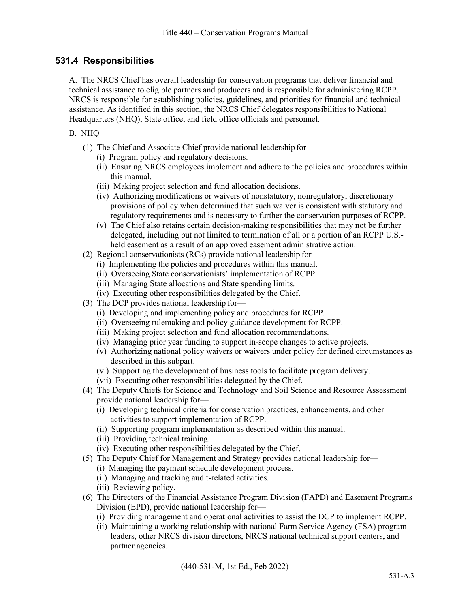# **531.4 Responsibilities**

A. The NRCS Chief has overall leadership for conservation programs that deliver financial and technical assistance to eligible partners and producers and is responsible for administering RCPP. NRCS is responsible for establishing policies, guidelines, and priorities for financial and technical assistance. As identified in this section, the NRCS Chief delegates responsibilities to National Headquarters (NHQ), State office, and field office officials and personnel.

#### B. NHQ

- (1) The Chief and Associate Chief provide national leadership for—
	- (i) Program policy and regulatory decisions.
	- (ii) Ensuring NRCS employees implement and adhere to the policies and procedures within this manual.
	- (iii) Making project selection and fund allocation decisions.
	- (iv) Authorizing modifications or waivers of nonstatutory, nonregulatory, discretionary provisions of policy when determined that such waiver is consistent with statutory and regulatory requirements and is necessary to further the conservation purposes of RCPP.
	- (v) The Chief also retains certain decision-making responsibilities that may not be further delegated, including but not limited to termination of all or a portion of an RCPP U.S. held easement as a result of an approved easement administrative action.
- (2) Regional conservationists (RCs) provide national leadership for—
	- (i) Implementing the policies and procedures within this manual.
	- (ii) Overseeing State conservationists' implementation of RCPP.
	- (iii) Managing State allocations and State spending limits.
	- (iv) Executing other responsibilities delegated by the Chief.
- (3) The DCP provides national leadership for—
	- (i) Developing and implementing policy and procedures for RCPP.
	- (ii) Overseeing rulemaking and policy guidance development for RCPP.
	- (iii) Making project selection and fund allocation recommendations.
	- (iv) Managing prior year funding to support in-scope changes to active projects.
	- (v) Authorizing national policy waivers or waivers under policy for defined circumstances as described in this subpart.
	- (vi) Supporting the development of business tools to facilitate program delivery.
	- (vii) Executing other responsibilities delegated by the Chief.
- (4) The Deputy Chiefs for Science and Technology and Soil Science and Resource Assessment provide national leadership for—
	- (i) Developing technical criteria for conservation practices, enhancements, and other activities to support implementation of RCPP.
	- (ii) Supporting program implementation as described within this manual.
	- (iii) Providing technical training.
	- (iv) Executing other responsibilities delegated by the Chief.
- (5) The Deputy Chief for Management and Strategy provides national leadership for—
	- (i) Managing the payment schedule development process.
	- (ii) Managing and tracking audit-related activities.
	- (iii) Reviewing policy.
- (6) The Directors of the Financial Assistance Program Division (FAPD) and Easement Programs Division (EPD), provide national leadership for—
	- (i) Providing management and operational activities to assist the DCP to implement RCPP.
	- (ii) Maintaining a working relationship with national Farm Service Agency (FSA) program leaders, other NRCS division directors, NRCS national technical support centers, and partner agencies.

(440-531-M, 1st Ed., Feb 2022)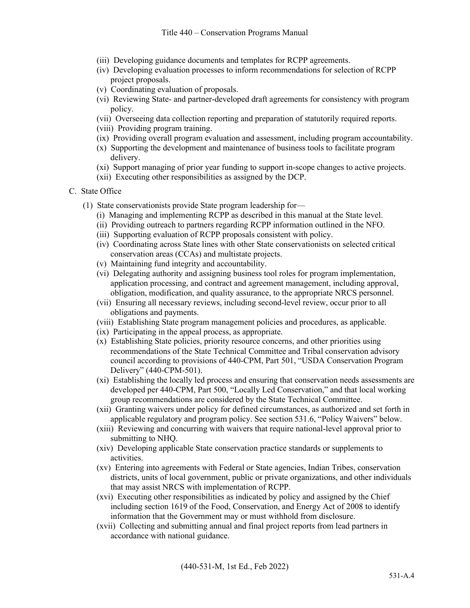- (iii) Developing guidance documents and templates for RCPP agreements.
- (iv) Developing evaluation processes to inform recommendations for selection of RCPP project proposals.
- (v) Coordinating evaluation of proposals.
- (vi) Reviewing State- and partner-developed draft agreements for consistency with program policy.
- (vii) Overseeing data collection reporting and preparation of statutorily required reports.
- (viii) Providing program training.
- (ix) Providing overall program evaluation and assessment, including program accountability.
- (x) Supporting the development and maintenance of business tools to facilitate program delivery.
- (xi) Support managing of prior year funding to support in-scope changes to active projects.
- (xii) Executing other responsibilities as assigned by the DCP.
- C. State Office
	- (1) State conservationists provide State program leadership for—
		- (i) Managing and implementing RCPP as described in this manual at the State level.
		- (ii) Providing outreach to partners regarding RCPP information outlined in the NFO.
		- (iii) Supporting evaluation of RCPP proposals consistent with policy.
		- (iv) Coordinating across State lines with other State conservationists on selected critical conservation areas (CCAs) and multistate projects.
		- (v) Maintaining fund integrity and accountability.
		- (vi) Delegating authority and assigning business tool roles for program implementation, application processing, and contract and agreement management, including approval, obligation, modification, and quality assurance, to the appropriate NRCS personnel.
		- (vii) Ensuring all necessary reviews, including second-level review, occur prior to all obligations and payments.
		- (viii) Establishing State program management policies and procedures, as applicable.
		- (ix) Participating in the appeal process, as appropriate.
		- (x) Establishing State policies, priority resource concerns, and other priorities using recommendations of the State Technical Committee and Tribal conservation advisory council according to provisions of 440-CPM, Part 501, "USDA Conservation Program Delivery" (440-CPM-501).
		- (xi) Establishing the locally led process and ensuring that conservation needs assessments are developed per 440-CPM, Part 500, "Locally Led Conservation," and that local working group recommendations are considered by the State Technical Committee.
		- (xii) Granting waivers under policy for defined circumstances, as authorized and set forth in applicable regulatory and program policy. See section 531.6, "Policy Waivers" below.
		- (xiii) Reviewing and concurring with waivers that require national-level approval prior to submitting to NHQ.
		- (xiv) Developing applicable State conservation practice standards or supplements to activities.
		- (xv) Entering into agreements with Federal or State agencies, Indian Tribes, conservation districts, units of local government, public or private organizations, and other individuals that may assist NRCS with implementation of RCPP.
		- (xvi) Executing other responsibilities as indicated by policy and assigned by the Chief including section 1619 of the Food, Conservation, and Energy Act of 2008 to identify information that the Government may or must withhold from disclosure.
		- (xvii) Collecting and submitting annual and final project reports from lead partners in accordance with national guidance.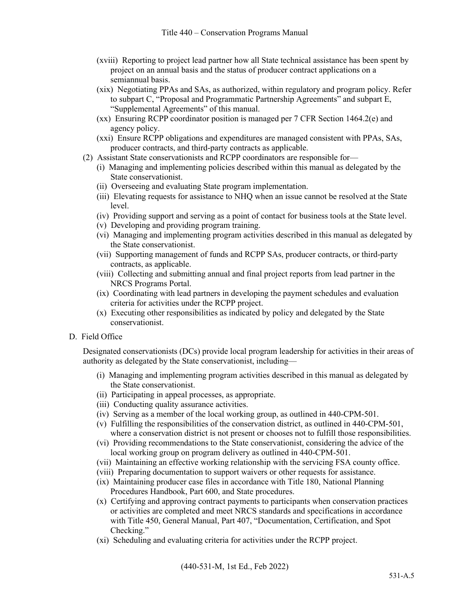- (xviii) Reporting to project lead partner how all State technical assistance has been spent by project on an annual basis and the status of producer contract applications on a semiannual basis.
- (xix) Negotiating PPAs and SAs, as authorized, within regulatory and program policy. Refer to subpart C, "Proposal and Programmatic Partnership Agreements" and subpart E, "Supplemental Agreements" of this manual.
- (xx) Ensuring RCPP coordinator position is managed per 7 CFR Section 1464.2(e) and agency policy.
- (xxi) Ensure RCPP obligations and expenditures are managed consistent with PPAs, SAs, producer contracts, and third-party contracts as applicable.
- (2) Assistant State conservationists and RCPP coordinators are responsible for—
	- (i) Managing and implementing policies described within this manual as delegated by the State conservationist.
	- (ii) Overseeing and evaluating State program implementation.
	- (iii) Elevating requests for assistance to NHQ when an issue cannot be resolved at the State level.
	- (iv) Providing support and serving as a point of contact for business tools at the State level.
	- (v) Developing and providing program training.
	- (vi) Managing and implementing program activities described in this manual as delegated by the State conservationist.
	- (vii) Supporting management of funds and RCPP SAs, producer contracts, or third-party contracts, as applicable.
	- (viii) Collecting and submitting annual and final project reports from lead partner in the NRCS Programs Portal.
	- (ix) Coordinating with lead partners in developing the payment schedules and evaluation criteria for activities under the RCPP project.
	- (x) Executing other responsibilities as indicated by policy and delegated by the State conservationist.
- D. Field Office

Designated conservationists (DCs) provide local program leadership for activities in their areas of authority as delegated by the State conservationist, including—

- (i) Managing and implementing program activities described in this manual as delegated by the State conservationist.
- (ii) Participating in appeal processes, as appropriate.
- (iii) Conducting quality assurance activities.
- (iv) Serving as a member of the local working group, as outlined in 440-CPM-501.
- (v) Fulfilling the responsibilities of the conservation district, as outlined in 440-CPM-501, where a conservation district is not present or chooses not to fulfill those responsibilities.
- (vi) Providing recommendations to the State conservationist, considering the advice of the local working group on program delivery as outlined in 440-CPM-501.
- (vii) Maintaining an effective working relationship with the servicing FSA county office.
- (viii) Preparing documentation to support waivers or other requests for assistance.
- (ix) Maintaining producer case files in accordance with Title 180, National Planning Procedures Handbook, Part 600, and State procedures.
- (x) Certifying and approving contract payments to participants when conservation practices or activities are completed and meet NRCS standards and specifications in accordance with Title 450, General Manual, Part 407, "Documentation, Certification, and Spot Checking."
- (xi) Scheduling and evaluating criteria for activities under the RCPP project.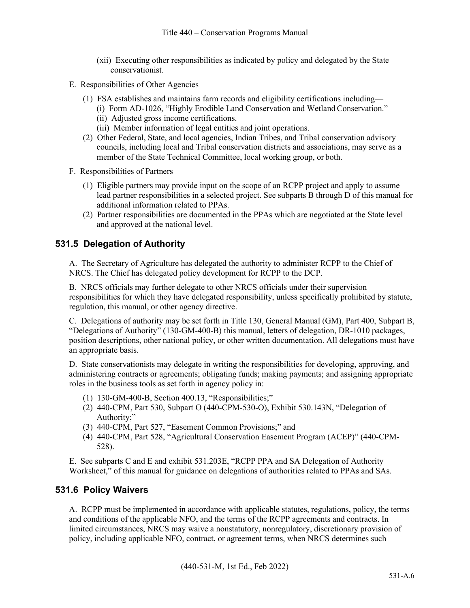- (xii) Executing other responsibilities as indicated by policy and delegated by the State conservationist.
- E. Responsibilities of Other Agencies
	- (1) FSA establishes and maintains farm records and eligibility certifications including—
		- (i) Form AD-1026, "Highly Erodible Land Conservation and Wetland Conservation." (ii) Adjusted gross income certifications.
		- (iii) Member information of legal entities and joint operations.
	- (2) Other Federal, State, and local agencies, Indian Tribes, and Tribal conservation advisory councils, including local and Tribal conservation districts and associations, may serve as a
		- member of the State Technical Committee, local working group, or both.
- F. Responsibilities of Partners
	- (1) Eligible partners may provide input on the scope of an RCPP project and apply to assume lead partner responsibilities in a selected project. See subparts B through D of this manual for additional information related to PPAs.
	- (2) Partner responsibilities are documented in the PPAs which are negotiated at the State level and approved at the national level.

# **531.5 Delegation of Authority**

A. The Secretary of Agriculture has delegated the authority to administer RCPP to the Chief of NRCS. The Chief has delegated policy development for RCPP to the DCP.

B. NRCS officials may further delegate to other NRCS officials under their supervision responsibilities for which they have delegated responsibility, unless specifically prohibited by statute, regulation, this manual, or other agency directive.

C. Delegations of authority may be set forth in Title 130, General Manual (GM), Part 400, Subpart B, "Delegations of Authority" (130-GM-400-B) this manual, letters of delegation, DR-1010 packages, position descriptions, other national policy, or other written documentation. All delegations must have an appropriate basis.

D. State conservationists may delegate in writing the responsibilities for developing, approving, and administering contracts or agreements; obligating funds; making payments; and assigning appropriate roles in the business tools as set forth in agency policy in:

- (1) 130-GM-400-B, Section 400.13, "Responsibilities;"
- (2) 440-CPM, Part 530, Subpart O (440-CPM-530-O), Exhibit 530.143N, "Delegation of Authority;"
- (3) 440-CPM, Part 527, "Easement Common Provisions;" and
- (4) 440-CPM, Part 528, "Agricultural Conservation Easement Program (ACEP)" (440-CPM-528).

E. See subparts C and E and exhibit 531.203E, "RCPP PPA and SA Delegation of Authority Worksheet," of this manual for guidance on delegations of authorities related to PPAs and SAs.

# **531.6 Policy Waivers**

A. RCPP must be implemented in accordance with applicable statutes, regulations, policy, the terms and conditions of the applicable NFO, and the terms of the RCPP agreements and contracts. In limited circumstances, NRCS may waive a nonstatutory, nonregulatory, discretionary provision of policy, including applicable NFO, contract, or agreement terms, when NRCS determines such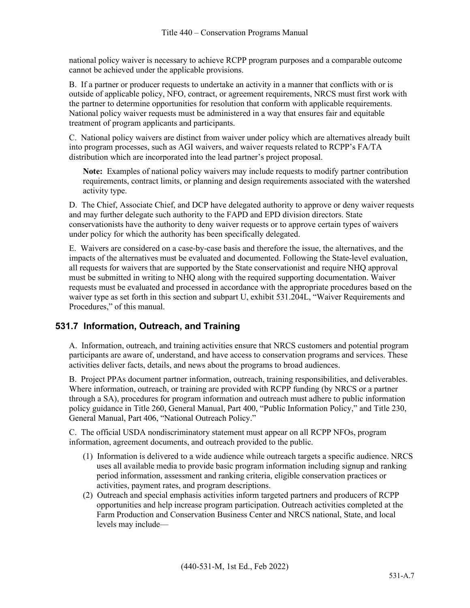national policy waiver is necessary to achieve RCPP program purposes and a comparable outcome cannot be achieved under the applicable provisions.

B. If a partner or producer requests to undertake an activity in a manner that conflicts with or is outside of applicable policy, NFO, contract, or agreement requirements, NRCS must first work with the partner to determine opportunities for resolution that conform with applicable requirements. National policy waiver requests must be administered in a way that ensures fair and equitable treatment of program applicants and participants.

C. National policy waivers are distinct from waiver under policy which are alternatives already built into program processes, such as AGI waivers, and waiver requests related to RCPP's FA/TA distribution which are incorporated into the lead partner's project proposal.

**Note:** Examples of national policy waivers may include requests to modify partner contribution requirements, contract limits, or planning and design requirements associated with the watershed activity type.

D. The Chief, Associate Chief, and DCP have delegated authority to approve or deny waiver requests and may further delegate such authority to the FAPD and EPD division directors. State conservationists have the authority to deny waiver requests or to approve certain types of waivers under policy for which the authority has been specifically delegated.

E. Waivers are considered on a case-by-case basis and therefore the issue, the alternatives, and the impacts of the alternatives must be evaluated and documented. Following the State-level evaluation, all requests for waivers that are supported by the State conservationist and require NHQ approval must be submitted in writing to NHQ along with the required supporting documentation. Waiver requests must be evaluated and processed in accordance with the appropriate procedures based on the waiver type as set forth in this section and subpart U, exhibit 531.204L, "Waiver Requirements and Procedures," of this manual.

# **531.7 Information, Outreach, and Training**

A. Information, outreach, and training activities ensure that NRCS customers and potential program participants are aware of, understand, and have access to conservation programs and services. These activities deliver facts, details, and news about the programs to broad audiences.

B. Project PPAs document partner information, outreach, training responsibilities, and deliverables. Where information, outreach, or training are provided with RCPP funding (by NRCS or a partner through a SA), procedures for program information and outreach must adhere to public information policy guidance in Title 260, General Manual, Part 400, "Public Information Policy," and Title 230, General Manual, Part 406, "National Outreach Policy."

C. The official USDA nondiscriminatory statement must appear on all RCPP NFOs, program information, agreement documents, and outreach provided to the public.

- (1) Information is delivered to a wide audience while outreach targets a specific audience. NRCS uses all available media to provide basic program information including signup and ranking period information, assessment and ranking criteria, eligible conservation practices or activities, payment rates, and program descriptions.
- (2) Outreach and special emphasis activities inform targeted partners and producers of RCPP opportunities and help increase program participation. Outreach activities completed at the Farm Production and Conservation Business Center and NRCS national, State, and local levels may include—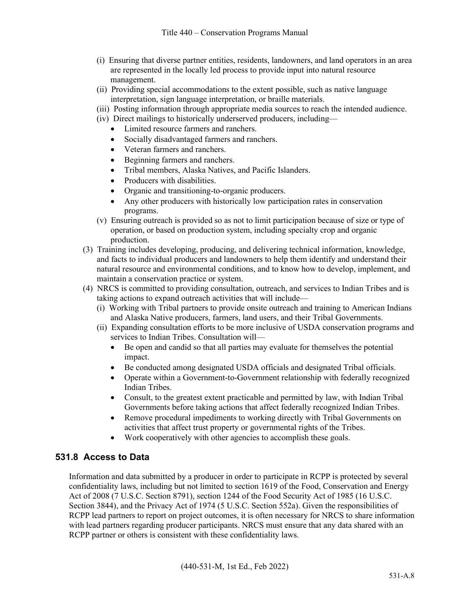- (i) Ensuring that diverse partner entities, residents, landowners, and land operators in an area are represented in the locally led process to provide input into natural resource management.
- (ii) Providing special accommodations to the extent possible, such as native language interpretation, sign language interpretation, or braille materials.
- (iii) Posting information through appropriate media sources to reach the intended audience.
- (iv) Direct mailings to historically underserved producers, including—
	- Limited resource farmers and ranchers.
	- Socially disadvantaged farmers and ranchers.
	- Veteran farmers and ranchers.
	- Beginning farmers and ranchers.
	- Tribal members, Alaska Natives, and Pacific Islanders.
	- Producers with disabilities.
	- Organic and transitioning-to-organic producers.
	- Any other producers with historically low participation rates in conservation programs.
- (v) Ensuring outreach is provided so as not to limit participation because of size or type of operation, or based on production system, including specialty crop and organic production.
- (3) Training includes developing, producing, and delivering technical information, knowledge, and facts to individual producers and landowners to help them identify and understand their natural resource and environmental conditions, and to know how to develop, implement, and maintain a conservation practice or system.
- (4) NRCS is committed to providing consultation, outreach, and services to Indian Tribes and is taking actions to expand outreach activities that will include—
	- (i) Working with Tribal partners to provide onsite outreach and training to American Indians and Alaska Native producers, farmers, land users, and their Tribal Governments.
	- (ii) Expanding consultation efforts to be more inclusive of USDA conservation programs and services to Indian Tribes. Consultation will—
		- Be open and candid so that all parties may evaluate for themselves the potential impact.
		- Be conducted among designated USDA officials and designated Tribal officials.
		- Operate within a Government-to-Government relationship with federally recognized Indian Tribes.
		- Consult, to the greatest extent practicable and permitted by law, with Indian Tribal Governments before taking actions that affect federally recognized Indian Tribes.
		- Remove procedural impediments to working directly with Tribal Governments on activities that affect trust property or governmental rights of the Tribes.
		- Work cooperatively with other agencies to accomplish these goals.

#### **531.8 Access to Data**

Information and data submitted by a producer in order to participate in RCPP is protected by several confidentiality laws, including but not limited to section 1619 of the Food, Conservation and Energy Act of 2008 (7 U.S.C. Section 8791), section 1244 of the Food Security Act of 1985 (16 U.S.C. Section 3844), and the Privacy Act of 1974 (5 U.S.C. Section 552a). Given the responsibilities of RCPP lead partners to report on project outcomes, it is often necessary for NRCS to share information with lead partners regarding producer participants. NRCS must ensure that any data shared with an RCPP partner or others is consistent with these confidentiality laws.